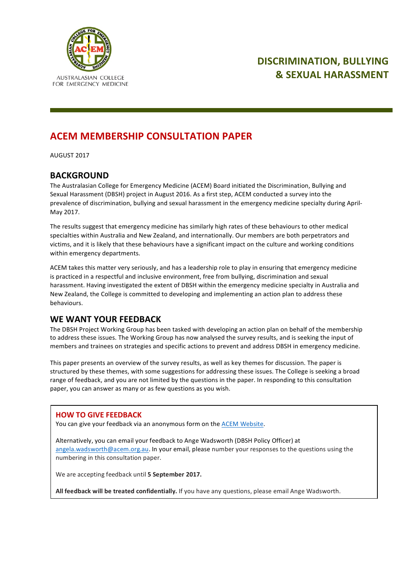

# **DISCRIMINATION, BULLYING & SEXUAL HARASSMENT**

# **ACEM MEMBERSHIP CONSULTATION PAPER**

AUGUST 2017

### **BACKGROUND**

The Australasian College for Emergency Medicine (ACEM) Board initiated the Discrimination, Bullying and Sexual Harassment (DBSH) project in August 2016. As a first step, ACEM conducted a survey into the prevalence of discrimination, bullying and sexual harassment in the emergency medicine specialty during April-May 2017.

The results suggest that emergency medicine has similarly high rates of these behaviours to other medical specialties within Australia and New Zealand, and internationally. Our members are both perpetrators and victims, and it is likely that these behaviours have a significant impact on the culture and working conditions within emergency departments.

ACEM takes this matter very seriously, and has a leadership role to play in ensuring that emergency medicine is practiced in a respectful and inclusive environment, free from bullying, discrimination and sexual harassment. Having investigated the extent of DBSH within the emergency medicine specialty in Australia and New Zealand, the College is committed to developing and implementing an action plan to address these behaviours.

## WE WANT YOUR FEEDBACK

The DBSH Project Working Group has been tasked with developing an action plan on behalf of the membership to address these issues. The Working Group has now analysed the survey results, and is seeking the input of members and trainees on strategies and specific actions to prevent and address DBSH in emergency medicine.

This paper presents an overview of the survey results, as well as key themes for discussion. The paper is structured by these themes, with some suggestions for addressing these issues. The College is seeking a broad range of feedback, and you are not limited by the questions in the paper. In responding to this consultation paper, you can answer as many or as few questions as you wish.

### **HOW TO GIVE FEEDBACK**

You can give your feedback via an anonymous form on the ACEM Website.

Alternatively, you can email your feedback to Ange Wadsworth (DBSH Policy Officer) at angela.wadsworth@acem.org.au. In your email, please number your responses to the questions using the numbering in this consultation paper.

We are accepting feedback until **5** September 2017.

All feedback will be treated confidentially. If you have any questions, please email Ange Wadsworth.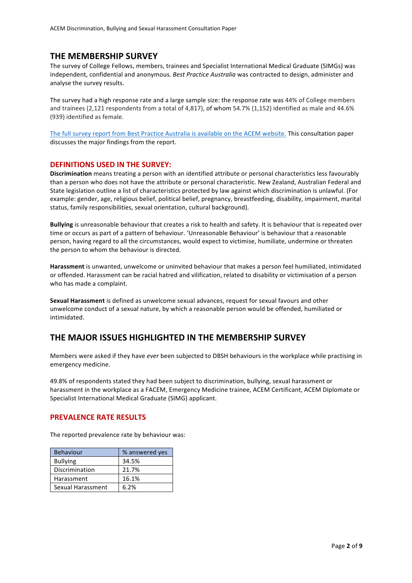### **THE MEMBERSHIP SURVEY**

The survey of College Fellows, members, trainees and Specialist International Medical Graduate (SIMGs) was independent, confidential and anonymous. *Best Practice Australia* was contracted to design, administer and analyse the survey results.

The survey had a high response rate and a large sample size: the response rate was 44% of College members and trainees (2,121 respondents from a total of 4,817), of whom 54.7% (1,152) identified as male and 44.6% (939) identified as female.

The full survey report from Best Practice Australia is available on the ACEM website. This consultation paper discusses the major findings from the report.

#### **DEFINITIONS USED IN THE SURVEY:**

**Discrimination** means treating a person with an identified attribute or personal characteristics less favourably than a person who does not have the attribute or personal characteristic. New Zealand, Australian Federal and State legislation outline a list of characteristics protected by law against which discrimination is unlawful. (For example: gender, age, religious belief, political belief, pregnancy, breastfeeding, disability, impairment, marital status, family responsibilities, sexual orientation, cultural background).

**Bullying** is unreasonable behaviour that creates a risk to health and safety. It is behaviour that is repeated over time or occurs as part of a pattern of behaviour. 'Unreasonable Behaviour' is behaviour that a reasonable person, having regard to all the circumstances, would expect to victimise, humiliate, undermine or threaten the person to whom the behaviour is directed.

Harassment is unwanted, unwelcome or uninvited behaviour that makes a person feel humiliated, intimidated or offended. Harassment can be racial hatred and vilification, related to disability or victimisation of a person who has made a complaint.

**Sexual Harassment** is defined as unwelcome sexual advances, request for sexual favours and other unwelcome conduct of a sexual nature, by which a reasonable person would be offended, humiliated or intimidated. 

### THE MAJOR ISSUES HIGHLIGHTED IN THE MEMBERSHIP SURVEY

Members were asked if they have *ever* been subjected to DBSH behaviours in the workplace while practising in emergency medicine.

49.8% of respondents stated they had been subject to discrimination, bullying, sexual harassment or harassment in the workplace as a FACEM, Emergency Medicine trainee, ACEM Certificant, ACEM Diplomate or Specialist International Medical Graduate (SIMG) applicant.

#### **PREVALENCE RATE RESULTS**

The reported prevalence rate by behaviour was:

| <b>Behaviour</b>  | % answered yes |
|-------------------|----------------|
| <b>Bullying</b>   | 34.5%          |
| Discrimination    | 21.7%          |
| Harassment        | 16.1%          |
| Sexual Harassment | 6.2%           |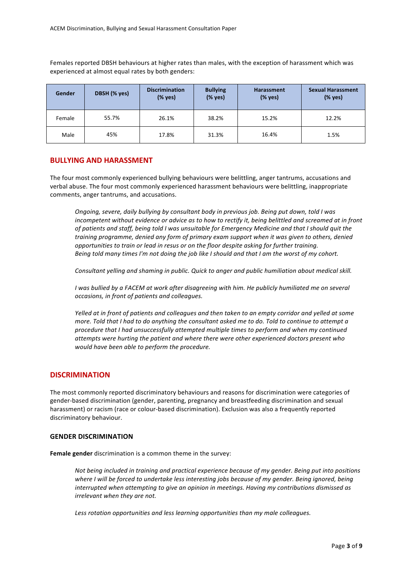Females reported DBSH behaviours at higher rates than males, with the exception of harassment which was experienced at almost equal rates by both genders:

| Gender | DBSH (% yes) | <b>Discrimination</b><br>(% yes) | <b>Bullying</b><br>(% yes) | <b>Harassment</b><br>(% yes) | <b>Sexual Harassment</b><br>(% yes) |
|--------|--------------|----------------------------------|----------------------------|------------------------------|-------------------------------------|
| Female | 55.7%        | 26.1%                            | 38.2%                      | 15.2%                        | 12.2%                               |
| Male   | 45%          | 17.8%                            | 31.3%                      | 16.4%                        | 1.5%                                |

### **BULLYING AND HARASSMENT**

The four most commonly experienced bullying behaviours were belittling, anger tantrums, accusations and verbal abuse. The four most commonly experienced harassment behaviours were belittling, inappropriate comments, anger tantrums, and accusations.

*Ongoing, severe, daily bullying by consultant body in previous job. Being put down, told I was incompetent without evidence or advice as to how to rectify it, being belittled and screamed at in front of patients and staff, being told I was unsuitable for Emergency Medicine and that I should quit the training programme, denied any form of primary exam support when it was given to others, denied* opportunities to train or lead in resus or on the floor despite asking for further training. *Being told many times I'm not doing the job like I should and that I am the worst of my cohort.* 

Consultant yelling and shaming in public. Quick to anger and public humiliation about medical skill.

*I* was bullied by a FACEM at work after disagreeing with him. He publicly humiliated me on several *occasions, in front of patients and colleagues.*

*Yelled* at in front of patients and colleagues and then taken to an empty corridor and yelled at some *more.* Told that I had to do anything the consultant asked me to do. Told to continue to attempt a procedure that I had unsuccessfully attempted multiple times to perform and when my continued *attempts were hurting the patient and where there were other experienced doctors present who would have been able to perform the procedure.* 

#### **DISCRIMINATION**

The most commonly reported discriminatory behaviours and reasons for discrimination were categories of gender-based discrimination (gender, parenting, pregnancy and breastfeeding discrimination and sexual harassment) or racism (race or colour-based discrimination). Exclusion was also a frequently reported discriminatory behaviour.

#### **GENDER DISCRIMINATION**

Female gender discrimination is a common theme in the survey:

Not being included in training and practical experience because of my gender. Being put into positions where I will be forced to undertake less interesting jobs because of my gender. Being ignored, being *interrupted* when attempting to give an opinion in meetings. Having my contributions dismissed as *irrelevant* when they are not.

Less rotation opportunities and less learning opportunities than my male colleagues.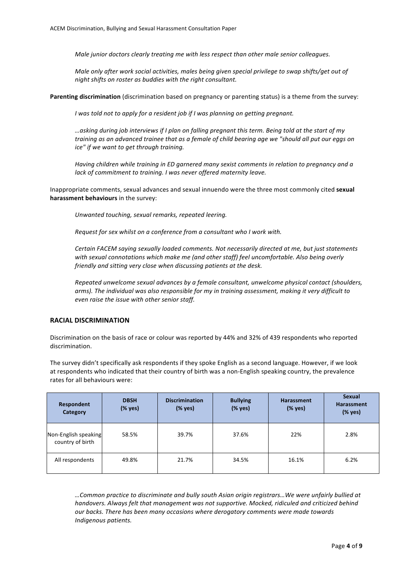*Male junior doctors clearly treating me with less respect than other male senior colleagues.* 

*Male only after work social activities, males being given special privilege to swap shifts/get out of night shifts on roster as buddies with the right consultant.* 

**Parenting discrimination** (discrimination based on pregnancy or parenting status) is a theme from the survey:

*I* was told not to apply for a resident job if *I* was planning on getting pregnant.

*…asking during job interviews if I plan on falling pregnant this term. Being told at the start of my*  training as an advanced trainee that as a female of child bearing age we "should all put our eggs on *ice"* if we want to get through training.

*Having children while training in ED garnered many sexist comments in relation to pregnancy and a lack* of commitment to training. *I* was never offered maternity leave.

Inappropriate comments, sexual advances and sexual innuendo were the three most commonly cited sexual harassment behaviours in the survey:

*Unwanted touching, sexual remarks, repeated leering.*

*Request for sex whilst on a conference from a consultant who I work with.* 

Certain FACEM saying sexually loaded comments. Not necessarily directed at me, but just statements with sexual connotations which make me (and other staff) feel uncomfortable. Also being overly *friendly and sitting very close when discussing patients at the desk.*

*Repeated unwelcome sexual advances by a female consultant, unwelcome physical contact (shoulders,* arms). The individual was also responsible for my in training assessment, making it very difficult to even raise the issue with other senior staff.

#### **RACIAL DISCRIMINATION**

Discrimination on the basis of race or colour was reported by 44% and 32% of 439 respondents who reported discrimination.

The survey didn't specifically ask respondents if they spoke English as a second language. However, if we look at respondents who indicated that their country of birth was a non-English speaking country, the prevalence rates for all behaviours were:

| Respondent<br>Category                   | <b>DBSH</b><br>(% yes) | <b>Discrimination</b><br>(% yes) | <b>Bullying</b><br>(% yes) | <b>Harassment</b><br>(% yes) | <b>Sexual</b><br><b>Harassment</b><br>(% yes) |
|------------------------------------------|------------------------|----------------------------------|----------------------------|------------------------------|-----------------------------------------------|
| Non-English speaking<br>country of birth | 58.5%                  | 39.7%                            | 37.6%                      | 22%                          | 2.8%                                          |
| All respondents                          | 49.8%                  | 21.7%                            | 34.5%                      | 16.1%                        | 6.2%                                          |

*…Common practice to discriminate and bully south Asian origin registrars…We were unfairly bullied at*  handovers. Always felt that management was not supportive. Mocked, ridiculed and criticized behind *our backs. There has been many occasions where derogatory comments were made towards Indigenous patients.*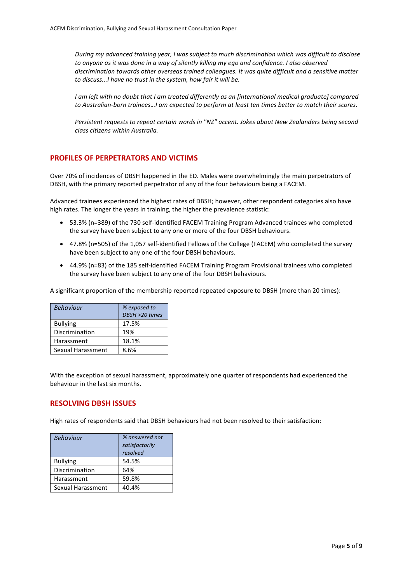*During* my advanced training year, I was subject to much discrimination which was difficult to disclose to anyone as it was done in a way of silently killing my ego and confidence. I also observed *discrimination towards other overseas trained colleagues. It was quite difficult and a sensitive matter* to discuss...I have no trust in the system, how fair it will be.

*I* am left with no doubt that *I* am treated differently as an [international medical graduate] compared *to* Australian-born *trainees...I* am expected to perform at least ten times better to match their scores.

*Persistent requests to repeat certain words in "NZ" accent. Jokes about New Zealanders being second class citizens within Australia.*

### **PROFILES OF PERPETRATORS AND VICTIMS**

Over 70% of incidences of DBSH happened in the ED. Males were overwhelmingly the main perpetrators of DBSH, with the primary reported perpetrator of any of the four behaviours being a FACEM.

Advanced trainees experienced the highest rates of DBSH; however, other respondent categories also have high rates. The longer the years in training, the higher the prevalence statistic:

- 53.3% (n=389) of the 730 self-identified FACEM Training Program Advanced trainees who completed the survey have been subject to any one or more of the four DBSH behaviours.
- 47.8% (n=505) of the 1,057 self-identified Fellows of the College (FACEM) who completed the survey have been subject to any one of the four DBSH behaviours.
- 44.9% (n=83) of the 185 self-identified FACEM Training Program Provisional trainees who completed the survey have been subject to any one of the four DBSH behaviours.

A significant proportion of the membership reported repeated exposure to DBSH (more than 20 times):

| <b>Behaviour</b>  | % exposed to   |  |
|-------------------|----------------|--|
|                   | DBSH >20 times |  |
| <b>Bullying</b>   | 17.5%          |  |
| Discrimination    | 19%            |  |
| Harassment        | 18.1%          |  |
| Sexual Harassment | ጸ 6%           |  |

With the exception of sexual harassment, approximately one quarter of respondents had experienced the behaviour in the last six months.

### **RESOLVING DBSH ISSUES**

High rates of respondents said that DBSH behaviours had not been resolved to their satisfaction:

| <b>Behaviour</b>  | % answered not<br>satisfactorily<br>resolved |
|-------------------|----------------------------------------------|
| <b>Bullying</b>   | 54.5%                                        |
| Discrimination    | 64%                                          |
| Harassment        | 59.8%                                        |
| Sexual Harassment | 40.4%                                        |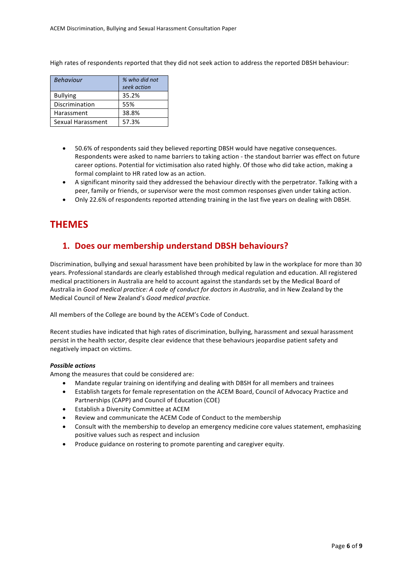High rates of respondents reported that they did not seek action to address the reported DBSH behaviour:

| <b>Behaviour</b>  | % who did not |  |
|-------------------|---------------|--|
|                   | seek action   |  |
| <b>Bullying</b>   | 35.2%         |  |
| Discrimination    | 55%           |  |
| Harassment        | 38.8%         |  |
| Sexual Harassment | 57.3%         |  |

- 50.6% of respondents said they believed reporting DBSH would have negative consequences. Respondents were asked to name barriers to taking action - the standout barrier was effect on future career options. Potential for victimisation also rated highly. Of those who did take action, making a formal complaint to HR rated low as an action.
- A significant minority said they addressed the behaviour directly with the perpetrator. Talking with a peer, family or friends, or supervisor were the most common responses given under taking action.
- Only 22.6% of respondents reported attending training in the last five years on dealing with DBSH.

## **THEMES**

## 1. Does our membership understand DBSH behaviours?

Discrimination, bullying and sexual harassment have been prohibited by law in the workplace for more than 30 years. Professional standards are clearly established through medical regulation and education. All registered medical practitioners in Australia are held to account against the standards set by the Medical Board of Australia in *Good medical practice: A code of conduct for doctors in Australia*, and in New Zealand by the Medical Council of New Zealand's *Good medical practice.*

All members of the College are bound by the ACEM's Code of Conduct.

Recent studies have indicated that high rates of discrimination, bullying, harassment and sexual harassment persist in the health sector, despite clear evidence that these behaviours jeopardise patient safety and negatively impact on victims.

#### **Possible** actions

Among the measures that could be considered are:

- Mandate regular training on identifying and dealing with DBSH for all members and trainees
- Establish targets for female representation on the ACEM Board, Council of Advocacy Practice and Partnerships (CAPP) and Council of Education (COE)
- Establish a Diversity Committee at ACEM
- Review and communicate the ACEM Code of Conduct to the membership
- Consult with the membership to develop an emergency medicine core values statement, emphasizing positive values such as respect and inclusion
- Produce guidance on rostering to promote parenting and caregiver equity.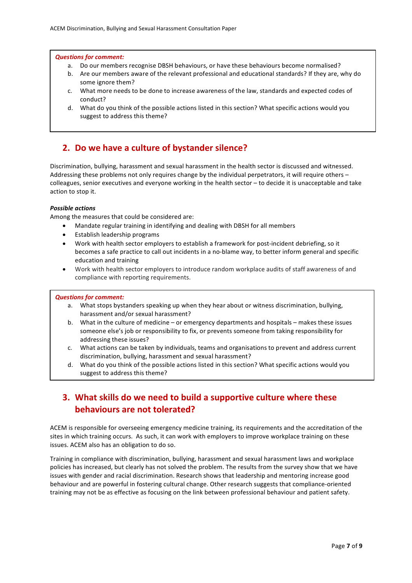#### *Questions for comment:*

- a. Do our members recognise DBSH behaviours, or have these behaviours become normalised?
- b. Are our members aware of the relevant professional and educational standards? If they are, why do some ignore them?
- c. What more needs to be done to increase awareness of the law, standards and expected codes of conduct?
- d. What do you think of the possible actions listed in this section? What specific actions would you suggest to address this theme?

### **2.** Do we have a culture of bystander silence?

Discrimination, bullying, harassment and sexual harassment in the health sector is discussed and witnessed. Addressing these problems not only requires change by the individual perpetrators, it will require others – colleagues, senior executives and everyone working in the health sector – to decide it is unacceptable and take action to stop it.

#### *Possible actions*

Among the measures that could be considered are:

- Mandate regular training in identifying and dealing with DBSH for all members
- Establish leadership programs
- Work with health sector employers to establish a framework for post-incident debriefing, so it becomes a safe practice to call out incidents in a no-blame way, to better inform general and specific education and training
- Work with health sector employers to introduce random workplace audits of staff awareness of and compliance with reporting requirements.

#### *Questions for comment:*

- a. What stops bystanders speaking up when they hear about or witness discrimination, bullying, harassment and/or sexual harassment?
- b. What in the culture of medicine  $-$  or emergency departments and hospitals  $-$  makes these issues someone else's job or responsibility to fix, or prevents someone from taking responsibility for addressing these issues?
- c. What actions can be taken by individuals, teams and organisations to prevent and address current discrimination, bullying, harassment and sexual harassment?
- d. What do you think of the possible actions listed in this section? What specific actions would you suggest to address this theme?

## **3.** What skills do we need to build a supportive culture where these **behaviours are not tolerated?**

ACEM is responsible for overseeing emergency medicine training, its requirements and the accreditation of the sites in which training occurs. As such, it can work with employers to improve workplace training on these issues. ACEM also has an obligation to do so.

Training in compliance with discrimination, bullying, harassment and sexual harassment laws and workplace policies has increased, but clearly has not solved the problem. The results from the survey show that we have issues with gender and racial discrimination. Research shows that leadership and mentoring increase good behaviour and are powerful in fostering cultural change. Other research suggests that compliance-oriented training may not be as effective as focusing on the link between professional behaviour and patient safety.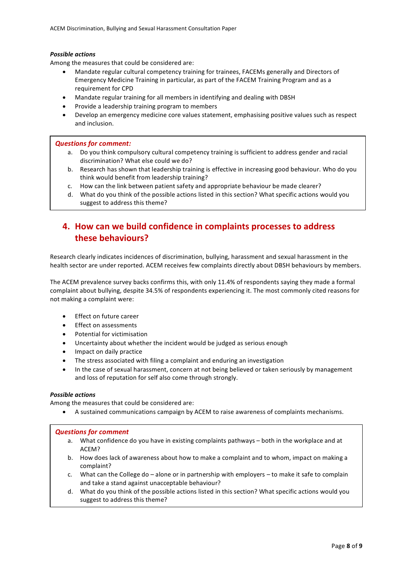#### *Possible actions*

Among the measures that could be considered are:

- Mandate regular cultural competency training for trainees, FACEMs generally and Directors of Emergency Medicine Training in particular, as part of the FACEM Training Program and as a requirement for CPD
- Mandate regular training for all members in identifying and dealing with DBSH
- Provide a leadership training program to members
- Develop an emergency medicine core values statement, emphasising positive values such as respect and inclusion.

#### *Questions for comment:*

- a. Do you think compulsory cultural competency training is sufficient to address gender and racial discrimination? What else could we do?
- b. Research has shown that leadership training is effective in increasing good behaviour. Who do you think would benefit from leadership training?
- c. How can the link between patient safety and appropriate behaviour be made clearer?
- d. What do you think of the possible actions listed in this section? What specific actions would you suggest to address this theme?

## **4.** How can we build confidence in complaints processes to address **these behaviours?**

Research clearly indicates incidences of discrimination, bullying, harassment and sexual harassment in the health sector are under reported. ACEM receives few complaints directly about DBSH behaviours by members.

The ACEM prevalence survey backs confirms this, with only 11.4% of respondents saying they made a formal complaint about bullying, despite 34.5% of respondents experiencing it. The most commonly cited reasons for not making a complaint were:

- Effect on future career
- **Effect on assessments**
- Potential for victimisation
- Uncertainty about whether the incident would be judged as serious enough
- Impact on daily practice
- The stress associated with filing a complaint and enduring an investigation
- In the case of sexual harassment, concern at not being believed or taken seriously by management and loss of reputation for self also come through strongly.

#### **Possible** actions

Among the measures that could be considered are:

A sustained communications campaign by ACEM to raise awareness of complaints mechanisms.

### *Questions for comment*

- a. What confidence do you have in existing complaints pathways both in the workplace and at ACEM?
- b. How does lack of awareness about how to make a complaint and to whom, impact on making a complaint?
- c. What can the College do  $-$  alone or in partnership with employers  $-$  to make it safe to complain and take a stand against unacceptable behaviour?
- d. What do you think of the possible actions listed in this section? What specific actions would you suggest to address this theme?